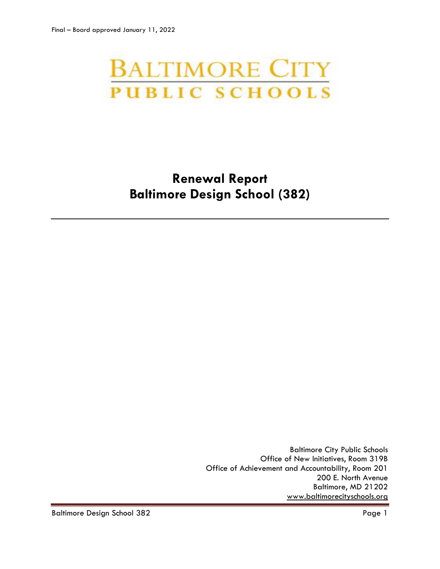# **BALTIMORE CITY PUBLIC SCHOOLS**

# **Renewal Report Baltimore Design School (382)**

Baltimore City Public Schools Office of New Initiatives, Room 319B Office of Achievement and Accountability, Room 201 200 E. North Avenue Baltimore, MD 21202 [www.baltimorecityschools.org](http://www.baltimorecityschools.org/)

Baltimore Design School 382 Page 1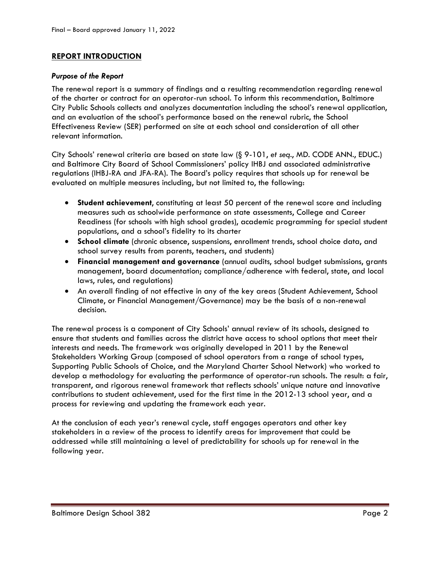#### **REPORT INTRODUCTION**

#### *Purpose of the Report*

The renewal report is a summary of findings and a resulting recommendation regarding renewal of the charter or contract for an operator-run school. To inform this recommendation, Baltimore City Public Schools collects and analyzes documentation including the school's renewal application, and an evaluation of the school's performance based on the renewal rubric, the School Effectiveness Review (SER) performed on site at each school and consideration of all other relevant information.

City Schools' renewal criteria are based on state law (§ 9-101, *et seq*., MD. CODE ANN., EDUC.) and Baltimore City Board of School Commissioners' policy IHBJ and associated administrative regulations (IHBJ-RA and JFA-RA). The Board's policy requires that schools up for renewal be evaluated on multiple measures including, but not limited to, the following:

- **Student achievement**, constituting at least 50 percent of the renewal score and including measures such as schoolwide performance on state assessments, College and Career Readiness (for schools with high school grades), academic programming for special student populations, and a school's fidelity to its charter
- **School climate** (chronic absence, suspensions, enrollment trends, school choice data, and school survey results from parents, teachers, and students)
- **Financial management and governance** (annual audits, school budget submissions, grants management, board documentation; compliance/adherence with federal, state, and local laws, rules, and regulations)
- An overall finding of not effective in any of the key areas (Student Achievement, School Climate, or Financial Management/Governance) may be the basis of a non-renewal decision.

The renewal process is a component of City Schools' annual review of its schools, designed to ensure that students and families across the district have access to school options that meet their interests and needs. The framework was originally developed in 2011 by the Renewal Stakeholders Working Group (composed of school operators from a range of school types, Supporting Public Schools of Choice, and the Maryland Charter School Network) who worked to develop a methodology for evaluating the performance of operator-run schools. The result: a fair, transparent, and rigorous renewal framework that reflects schools' unique nature and innovative contributions to student achievement, used for the first time in the 2012-13 school year, and a process for reviewing and updating the framework each year.

At the conclusion of each year's renewal cycle, staff engages operators and other key stakeholders in a review of the process to identify areas for improvement that could be addressed while still maintaining a level of predictability for schools up for renewal in the following year.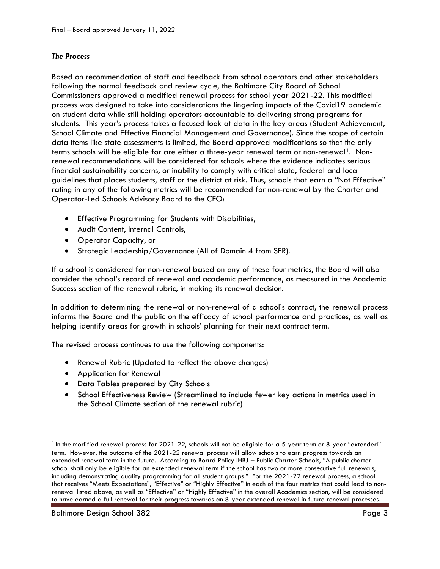#### *The Process*

Based on recommendation of staff and feedback from school operators and other stakeholders following the normal feedback and review cycle, the Baltimore City Board of School Commissioners approved a modified renewal process for school year 2021-22. This modified process was designed to take into considerations the lingering impacts of the Covid19 pandemic on student data while still holding operators accountable to delivering strong programs for students. This year's process takes a focused look at data in the key areas (Student Achievement, School Climate and Effective Financial Management and Governance). Since the scope of certain data items like state assessments is limited, the Board approved modifications so that the only terms schools will be eligible for are either a three-year renewal term or non-renewal<sup>1</sup>. Nonrenewal recommendations will be considered for schools where the evidence indicates serious financial sustainability concerns, or inability to comply with critical state, federal and local guidelines that places students, staff or the district at risk. Thus, schools that earn a "Not Effective" rating in any of the following metrics will be recommended for non-renewal by the Charter and Operator-Led Schools Advisory Board to the CEO:

- Effective Programming for Students with Disabilities,
- Audit Content, Internal Controls,
- Operator Capacity, or
- Strategic Leadership/Governance (All of Domain 4 from SER).

If a school is considered for non-renewal based on any of these four metrics, the Board will also consider the school's record of renewal and academic performance, as measured in the Academic Success section of the renewal rubric, in making its renewal decision.

In addition to determining the renewal or non-renewal of a school's contract, the renewal process informs the Board and the public on the efficacy of school performance and practices, as well as helping identify areas for growth in schools' planning for their next contract term.

The revised process continues to use the following components:

- Renewal Rubric (Updated to reflect the above changes)
- Application for Renewal
- Data Tables prepared by City Schools
- School Effectiveness Review (Streamlined to include fewer key actions in metrics used in the School Climate section of the renewal rubric)

l

 $^{\rm 1}$  In the modified renewal process for 2021-22, schools will not be eligible for a 5-year term or 8-year "extended" term. However, the outcome of the 2021-22 renewal process will allow schools to earn progress towards an extended renewal term in the future. According to Board Policy IHBJ – Public Charter Schools, "A public charter school shall only be eligible for an extended renewal term if the school has two or more consecutive full renewals, including demonstrating quality programming for all student groups." For the 2021-22 renewal process, a school that receives "Meets Expectations", "Effective" or "Highly Effective" in each of the four metrics that could lead to nonrenewal listed above, as well as "Effective" or "Highly Effective" in the overall Academics section, will be considered to have earned a full renewal for their progress towards an 8-year extended renewal in future renewal processes.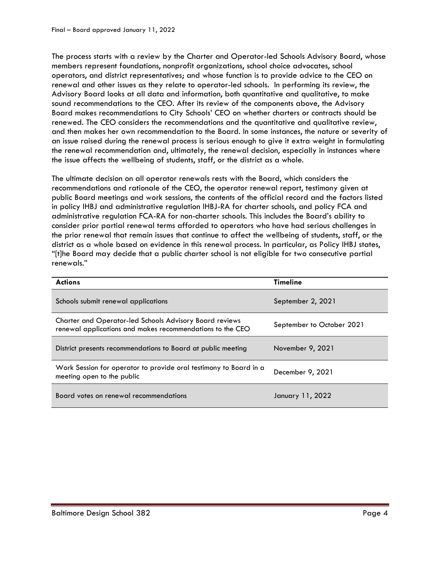The process starts with a review by the Charter and Operator-led Schools Advisory Board, whose members represent foundations, nonprofit organizations, school choice advocates, school operators, and district representatives; and whose function is to provide advice to the CEO on renewal and other issues as they relate to operator-led schools. In performing its review, the Advisory Board looks at all data and information, both quantitative and qualitative, to make sound recommendations to the CEO. After its review of the components above, the Advisory Board makes recommendations to City Schools' CEO on whether charters or contracts should be renewed. The CEO considers the recommendations and the quantitative and qualitative review, and then makes her own recommendation to the Board. In some instances, the nature or severity of an issue raised during the renewal process is serious enough to give it extra weight in formulating the renewal recommendation and, ultimately, the renewal decision, especially in instances where the issue affects the wellbeing of students, staff, or the district as a whole.

The ultimate decision on all operator renewals rests with the Board, which considers the recommendations and rationale of the CEO, the operator renewal report, testimony given at public Board meetings and work sessions, the contents of the official record and the factors listed in policy IHBJ and administrative regulation IHBJ-RA for charter schools, and policy FCA and administrative regulation FCA-RA for non-charter schools. This includes the Board's ability to consider prior partial renewal terms afforded to operators who have had serious challenges in the prior renewal that remain issues that continue to affect the wellbeing of students, staff, or the district as a whole based on evidence in this renewal process. In particular, as Policy IHBJ states, "[t]he Board may decide that a public charter school is not eligible for two consecutive partial renewals."

| <b>Actions</b>                                                                                                              | <b>Timeline</b>           |
|-----------------------------------------------------------------------------------------------------------------------------|---------------------------|
| Schools submit renewal applications                                                                                         | September 2, 2021         |
| <b>Charter and Operator-led Schools Advisory Board reviews</b><br>renewal applications and makes recommendations to the CEO | September to October 2021 |
| District presents recommendations to Board at public meeting                                                                | November 9, 2021          |
| Work Session for operator to provide oral testimony to Board in a<br>meeting open to the public                             | December 9, 2021          |
| Board votes on renewal recommendations                                                                                      | January 11, 2022          |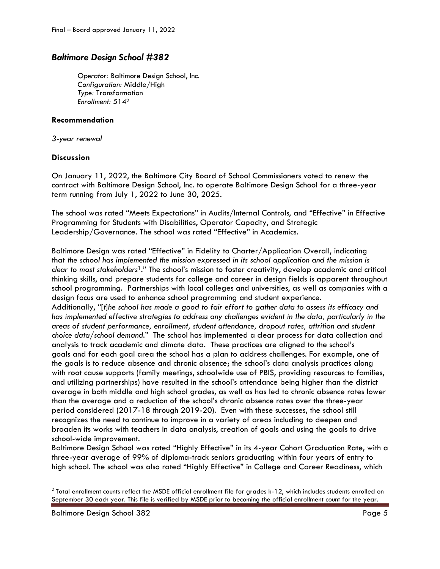## *Baltimore Design School #382*

*Operator:* Baltimore Design School, Inc. *Configuration:* Middle/High *Type:* Transformation *Enrollment:* 514<sup>2</sup>

#### **Recommendation**

*3-year renewal*

#### **Discussion**

On January 11, 2022, the Baltimore City Board of School Commissioners voted to renew the contract with Baltimore Design School, Inc. to operate Baltimore Design School for a three-year term running from July 1, 2022 to June 30, 2025.

The school was rated "Meets Expectations" in Audits/Internal Controls, and "Effective" in Effective Programming for Students with Disabilities, Operator Capacity, and Strategic Leadership/Governance. The school was rated "Effective" in Academics.

Baltimore Design was rated "Effective" in Fidelity to Charter/Application Overall, indicating that *the school has implemented the mission expressed in its school application and the mission is clear to most stakeholders*1*.*" The school's mission to foster creativity, develop academic and critical thinking skills, and prepare students for college and career in design fields is apparent throughout school programming. Partnerships with local colleges and universities, as well as companies with a design focus are used to enhance school programming and student experience. Additionally, "[*t*]*he school has made a good to fair effort to gather data to assess its efficacy and has implemented effective strategies to address any challenges evident in the data, particularly in the areas of student performance, enrollment, student attendance, dropout rates, attrition and student choice data/school demand.*" The school has implemented a clear process for data collection and

analysis to track academic and climate data. These practices are aligned to the school's goals and for each goal area the school has a plan to address challenges. For example, one of the goals is to reduce absence and chronic absence; the school's data analysis practices along with root cause supports (family meetings, schoolwide use of PBIS, providing resources to families, and utilizing partnerships) have resulted in the school's attendance being higher than the district average in both middle and high school grades, as well as has led to chronic absence rates lower than the average and a reduction of the school's chronic absence rates over the three-year period considered (2017-18 through 2019-20). Even with these successes, the school still recognizes the need to continue to improve in a variety of areas including to deepen and broaden its works with teachers in data analysis, creation of goals and using the goals to drive school-wide improvement.

Baltimore Design School was rated "Highly Effective" in its 4-year Cohort Graduation Rate, with a three-year average of 99% of diploma-track seniors graduating within four years of entry to high school. The school was also rated "Highly Effective" in College and Career Readiness, which

 $\overline{\phantom{a}}$ 

 $^2$  Total enrollment counts reflect the MSDE official enrollment file for grades k-12, which includes students enrolled on September 30 each year. This file is verified by MSDE prior to becoming the official enrollment count for the year.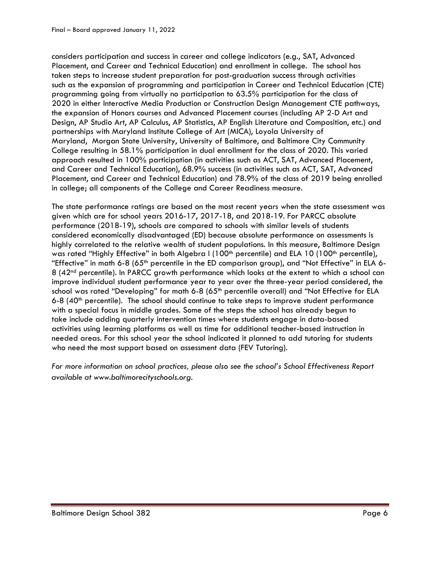considers participation and success in career and college indicators (e.g., SAT, Advanced Placement, and Career and Technical Education) and enrollment in college. The school has taken steps to increase student preparation for post-graduation success through activities such as the expansion of programming and participation in Career and Technical Education (CTE) programming going from virtually no participation to 63.5% participation for the class of 2020 in either Interactive Media Production or Construction Design Management CTE pathways, the expansion of Honors courses and Advanced Placement courses (including AP 2-D Art and Design, AP Studio Art, AP Calculus, AP Statistics, AP English Literature and Composition, etc.) and partnerships with Maryland Institute College of Art (MICA), Loyola University of Maryland, Morgan State University, University of Baltimore, and Baltimore City Community College resulting in 58.1% participation in dual enrollment for the class of 2020. This varied approach resulted in 100% participation (in activities such as ACT, SAT, Advanced Placement, and Career and Technical Education), 68.9% success (in activities such as ACT, SAT, Advanced Placement, and Career and Technical Education) and 78.9% of the class of 2019 being enrolled in college; all components of the College and Career Readiness measure.

The state performance ratings are based on the most recent years when the state assessment was given which are for school years 2016-17, 2017-18, and 2018-19. For PARCC absolute performance (2018-19), schools are compared to schools with similar levels of students considered economically disadvantaged (ED) because absolute performance on assessments is highly correlated to the relative wealth of student populations. In this measure, Baltimore Design was rated "Highly Effective" in both Algebra I (100<sup>th</sup> percentile) and ELA 10 (100<sup>th</sup> percentile), "Effective" in math 6-8 (65<sup>th</sup> percentile in the ED comparison group), and "Not Effective" in ELA 6-8 (42nd percentile). In PARCC growth performance which looks at the extent to which a school can improve individual student performance year to year over the three-year period considered, the school was rated "Developing" for math 6-8 (65<sup>th</sup> percentile overall) and "Not Effective for ELA 6-8  $(40<sup>th</sup>$  percentile). The school should continue to take steps to improve student performance with a special focus in middle grades. Some of the steps the school has already begun to take include adding quarterly intervention times where students engage in data-based activities using learning platforms as well as time for additional teacher-based instruction in needed areas. For this school year the school indicated it planned to add tutoring for students who need the most support based on assessment data (FEV Tutoring).

*For more information on school practices, please also see the school's School Effectiveness Report available at www.baltimorecityschools.org.*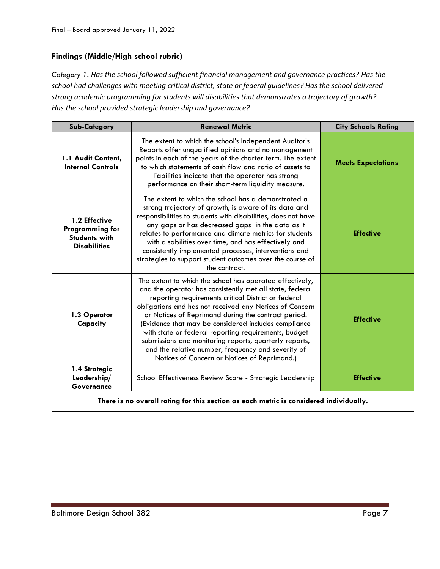### **Findings (Middle/High school rubric)**

*Category 1. Has the school followed sufficient financial management and governance practices? Has the school had challenges with meeting critical district, state or federal guidelines? Has the school delivered strong academic programming for students will disabilities that demonstrates a trajectory of growth? Has the school provided strategic leadership and governance?*

| <b>Sub-Category</b>                                                                    | <b>Renewal Metric</b>                                                                                                                                                                                                                                                                                                                                                                                                                                                                                                                                                         | <b>City Schools Rating</b> |
|----------------------------------------------------------------------------------------|-------------------------------------------------------------------------------------------------------------------------------------------------------------------------------------------------------------------------------------------------------------------------------------------------------------------------------------------------------------------------------------------------------------------------------------------------------------------------------------------------------------------------------------------------------------------------------|----------------------------|
| 1.1 Audit Content,<br><b>Internal Controls</b>                                         | The extent to which the school's Independent Auditor's<br>Reports offer unqualified opinions and no management<br>points in each of the years of the charter term. The extent<br>to which statements of cash flow and ratio of assets to<br>liabilities indicate that the operator has strong<br>performance on their short-term liquidity measure.                                                                                                                                                                                                                           | <b>Meets Expectations</b>  |
| 1.2 Effective<br><b>Programming for</b><br><b>Students with</b><br><b>Disabilities</b> | The extent to which the school has a demonstrated a<br>strong trajectory of growth, is aware of its data and<br>responsibilities to students with disabilities, does not have<br>any gaps or has decreased gaps in the data as it<br>relates to performance and climate metrics for students<br>with disabilities over time, and has effectively and<br>consistently implemented processes, interventions and<br>strategies to support student outcomes over the course of<br>the contract.                                                                                   | <b>Effective</b>           |
| 1.3 Operator<br>Capacity                                                               | The extent to which the school has operated effectively,<br>and the operator has consistently met all state, federal<br>reporting requirements critical District or federal<br>obligations and has not received any Notices of Concern<br>or Notices of Reprimand during the contract period.<br>(Evidence that may be considered includes compliance<br>with state or federal reporting requirements, budget<br>submissions and monitoring reports, quarterly reports,<br>and the relative number, frequency and severity of<br>Notices of Concern or Notices of Reprimand.) | <b>Effective</b>           |
| 1.4 Strategic<br>Leadership/<br>Governance                                             | School Effectiveness Review Score - Strategic Leadership                                                                                                                                                                                                                                                                                                                                                                                                                                                                                                                      | <b>Effective</b>           |
| There is no overall rating for this section as each metric is considered individually. |                                                                                                                                                                                                                                                                                                                                                                                                                                                                                                                                                                               |                            |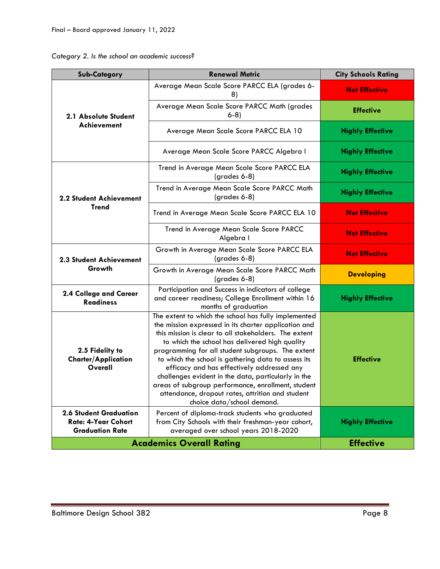| Category 2. Is the school an academic success? |  |  |  |  |  |  |
|------------------------------------------------|--|--|--|--|--|--|
|------------------------------------------------|--|--|--|--|--|--|

| <b>Sub-Category</b>                                                                   | <b>Renewal Metric</b>                                                                                                                                                                                                                                                                                                                                                                                                                                                                                                                                                            | <b>City Schools Rating</b> |
|---------------------------------------------------------------------------------------|----------------------------------------------------------------------------------------------------------------------------------------------------------------------------------------------------------------------------------------------------------------------------------------------------------------------------------------------------------------------------------------------------------------------------------------------------------------------------------------------------------------------------------------------------------------------------------|----------------------------|
| 2.1 Absolute Student<br>Achievement                                                   | Average Mean Scale Score PARCC ELA (grades 6-<br>8)                                                                                                                                                                                                                                                                                                                                                                                                                                                                                                                              | <b>Not Effective</b>       |
|                                                                                       | Average Mean Scale Score PARCC Math (grades<br>$6-8$                                                                                                                                                                                                                                                                                                                                                                                                                                                                                                                             | <b>Effective</b>           |
|                                                                                       | Average Mean Scale Score PARCC ELA 10                                                                                                                                                                                                                                                                                                                                                                                                                                                                                                                                            | <b>Highly Effective</b>    |
|                                                                                       | Average Mean Scale Score PARCC Algebra I                                                                                                                                                                                                                                                                                                                                                                                                                                                                                                                                         | <b>Highly Effective</b>    |
|                                                                                       | Trend in Average Mean Scale Score PARCC ELA<br>$(grades 6-8)$                                                                                                                                                                                                                                                                                                                                                                                                                                                                                                                    | <b>Highly Effective</b>    |
| <b>2.2 Student Achievement</b>                                                        | Trend in Average Mean Scale Score PARCC Math<br>(grades 6-8)                                                                                                                                                                                                                                                                                                                                                                                                                                                                                                                     | <b>Highly Effective</b>    |
| <b>Trend</b>                                                                          | Trend in Average Mean Scale Score PARCC ELA 10                                                                                                                                                                                                                                                                                                                                                                                                                                                                                                                                   | <b>Not Effective</b>       |
|                                                                                       | Trend in Average Mean Scale Score PARCC<br>Algebra I                                                                                                                                                                                                                                                                                                                                                                                                                                                                                                                             | <b>Not Effective</b>       |
| 2.3 Student Achievement<br>Growth                                                     | Growth in Average Mean Scale Score PARCC ELA<br>$(grades 6-8)$                                                                                                                                                                                                                                                                                                                                                                                                                                                                                                                   | <b>Not Effective</b>       |
|                                                                                       | Growth in Average Mean Scale Score PARCC Math<br>(grades 6-8)                                                                                                                                                                                                                                                                                                                                                                                                                                                                                                                    | <b>Developing</b>          |
| 2.4 College and Career<br><b>Readiness</b>                                            | Participation and Success in indicators of college<br>and career readiness; College Enrollment within 16<br>months of graduation                                                                                                                                                                                                                                                                                                                                                                                                                                                 | <b>Highly Effective</b>    |
| 2.5 Fidelity to<br><b>Charter/Application</b><br>Overall                              | The extent to which the school has fully implemented<br>the mission expressed in its charter application and<br>this mission is clear to all stakeholders. The extent<br>to which the school has delivered high quality<br>programming for all student subgroups. The extent<br>to which the school is gathering data to assess its<br>efficacy and has effectively addressed any<br>challenges evident in the data, particularly in the<br>areas of subgroup performance, enrollment, student<br>attendance, dropout rates, attrition and student<br>choice data/school demand. | <b>Effective</b>           |
| <b>2.6 Student Graduation</b><br><b>Rate: 4-Year Cohort</b><br><b>Graduation Rate</b> | Percent of diploma-track students who graduated<br>from City Schools with their freshman-year cohort,<br>averaged over school years 2018-2020                                                                                                                                                                                                                                                                                                                                                                                                                                    | <b>Highly Effective</b>    |
| <b>Academics Overall Rating</b>                                                       | <b>Effective</b>                                                                                                                                                                                                                                                                                                                                                                                                                                                                                                                                                                 |                            |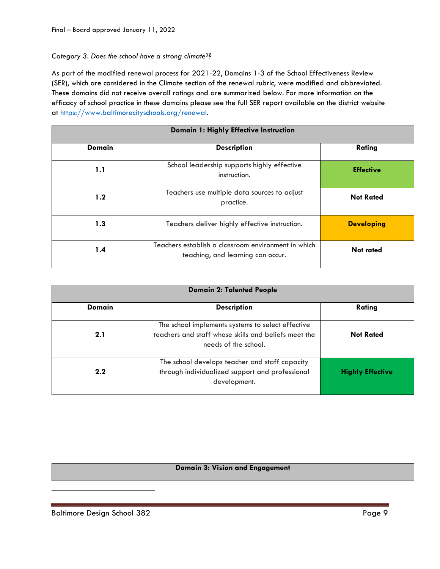#### *Category 3. Does the school have a strong climate3?*

As part of the modified renewal process for 2021-22, Domains 1-3 of the School Effectiveness Review (SER), which are considered in the Climate section of the renewal rubric, were modified and abbreviated. These domains did not receive overall ratings and are summarized below. For more information on the efficacy of school practice in these domains please see the full SER report available on the district website at [https://www.baltimorecityschools.org/r](https://www.baltimorecityschools.org/)enewal.

| Domain 1: Highly Effective Instruction |                                                                                          |                   |  |
|----------------------------------------|------------------------------------------------------------------------------------------|-------------------|--|
| <b>Domain</b>                          | <b>Description</b>                                                                       | Rating            |  |
| 1.1                                    | School leadership supports highly effective<br>instruction.                              | <b>Effective</b>  |  |
| 1.2                                    | Teachers use multiple data sources to adjust<br>practice.                                | <b>Not Rated</b>  |  |
| 1.3                                    | Teachers deliver highly effective instruction.                                           | <b>Developing</b> |  |
| 1.4                                    | Teachers establish a classroom environment in which<br>teaching, and learning can occur. | <b>Not rated</b>  |  |

| <b>Domain 2: Talented People</b> |                                                                                                                                   |                         |  |  |
|----------------------------------|-----------------------------------------------------------------------------------------------------------------------------------|-------------------------|--|--|
| Domain                           | <b>Description</b>                                                                                                                | Rating                  |  |  |
| 2.1                              | The school implements systems to select effective<br>teachers and staff whose skills and beliefs meet the<br>needs of the school. | <b>Not Rated</b>        |  |  |
| 2.2                              | The school develops teacher and staff capacity<br>through individualized support and professional<br>development.                 | <b>Highly Effective</b> |  |  |

#### **Domain 3: Vision and Engagement**

 $\overline{\phantom{a}}$